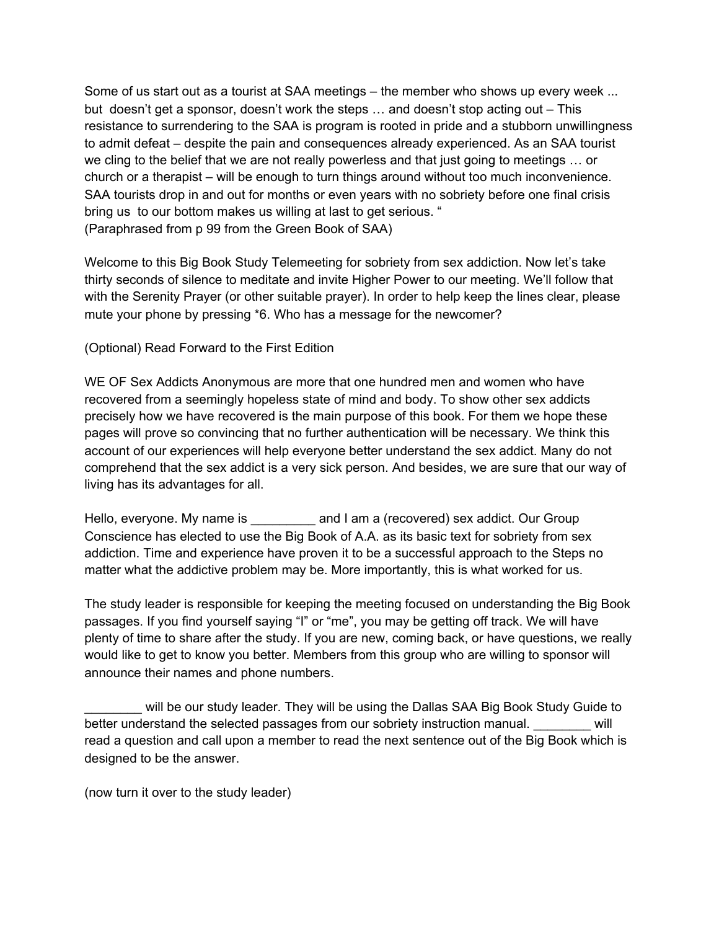Some of us start out as a tourist at SAA meetings – the member who shows up every week ... but doesn't get a sponsor, doesn't work the steps … and doesn't stop acting out – This resistance to surrendering to the SAA is program is rooted in pride and a stubborn unwillingness to admit defeat – despite the pain and consequences already experienced. As an SAA tourist we cling to the belief that we are not really powerless and that just going to meetings … or church or a therapist – will be enough to turn things around without too much inconvenience. SAA tourists drop in and out for months or even years with no sobriety before one final crisis bring us to our bottom makes us willing at last to get serious. " (Paraphrased from p 99 from the Green Book of SAA)

Welcome to this Big Book Study Telemeeting for sobriety from sex addiction. Now let's take thirty seconds of silence to meditate and invite Higher Power to our meeting. We'll follow that with the Serenity Prayer (or other suitable prayer). In order to help keep the lines clear, please mute your phone by pressing \*6. Who has a message for the newcomer?

(Optional) Read Forward to the First Edition

WE OF Sex Addicts Anonymous are more that one hundred men and women who have recovered from a seemingly hopeless state of mind and body. To show other sex addicts precisely how we have recovered is the main purpose of this book. For them we hope these pages will prove so convincing that no further authentication will be necessary. We think this account of our experiences will help everyone better understand the sex addict. Many do not comprehend that the sex addict is a very sick person. And besides, we are sure that our way of living has its advantages for all.

Hello, everyone. My name is **Example 2** and I am a (recovered) sex addict. Our Group Conscience has elected to use the Big Book of A.A. as its basic text for sobriety from sex addiction. Time and experience have proven it to be a successful approach to the Steps no matter what the addictive problem may be. More importantly, this is what worked for us.

The study leader is responsible for keeping the meeting focused on understanding the Big Book passages. If you find yourself saying "I" or "me", you may be getting off track. We will have plenty of time to share after the study. If you are new, coming back, or have questions, we really would like to get to know you better. Members from this group who are willing to sponsor will announce their names and phone numbers.

will be our study leader. They will be using the Dallas SAA Big Book Study Guide to better understand the selected passages from our sobriety instruction manual.  $\qquad$  will read a question and call upon a member to read the next sentence out of the Big Book which is designed to be the answer.

(now turn it over to the study leader)